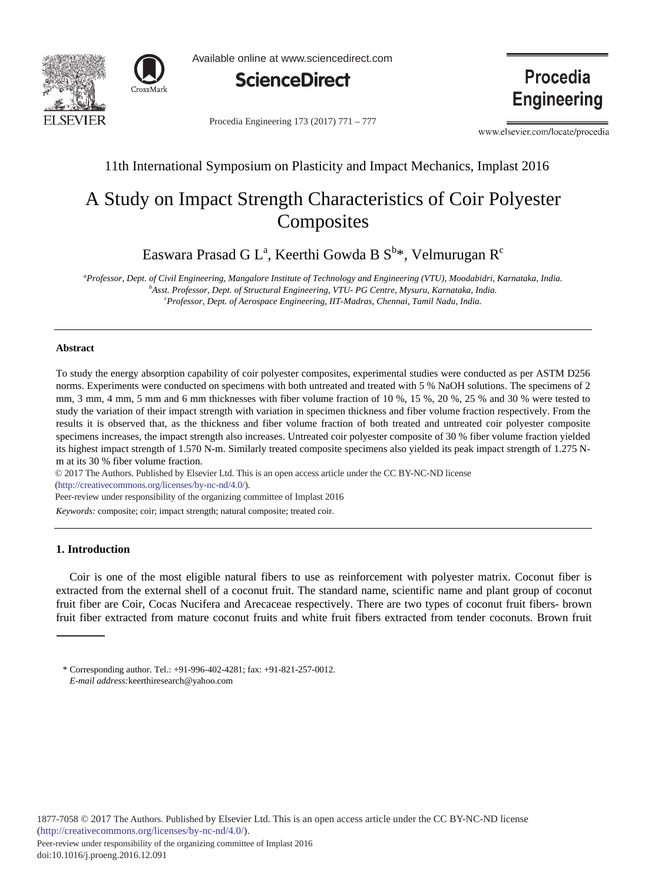



Available online at www.sciencedirect.com



Procedia Engineering 173 (2017) 771 - 777

www.elsevier.com/locate/procedia

**Procedia** 

**Engineering** 

# 11th International Symposium on Plasticity and Impact Mechanics, Implast 2016

# A Study on Impact Strength Characteristics of Coir Polyester **Composites**

Easwara Prasad G L $^{\rm a}$ , Keerthi Gowda B S $^{\rm b}$ \*, Velmurugan R $^{\rm c}$ 

<sup>a</sup> Professor, Dept. of Civil Engineering, Mangalore Institute of Technology and Engineering (VTU), Moodabidri, Karnataka, India.<br><sup>b</sup>Asst Professor, Dept. of Strugtural Engineering VTU, PG Contre Mysuru, Karnataka, India. <sup>*b*</sup> Asst. Professor, Dept. of Structural Engineering, VTU- PG Centre, Mysuru, Karnataka, India. *Professor, Dept. of Aerospace Engineering, IIT-Madras, Chennai, Tamil Nadu, India.* 

#### **Abstract**

To study the energy absorption capability of coir polyester composites, experimental studies were conducted as per ASTM D256 norms. Experiments were conducted on specimens with both untreated and treated with 5 % NaOH solutions. The specimens of 2 mm, 3 mm, 4 mm, 5 mm and 6 mm thicknesses with fiber volume fraction of 10 %, 15 %, 20 %, 25 % and 30 % were tested to study the variation of their impact strength with variation in specimen thickness and fiber volume fraction respectively. From the results it is observed that, as the thickness and fiber volume fraction of both treated and untreated coir polyester composite specimens increases, the impact strength also increases. Untreated coir polyester composite of 30 % fiber volume fraction yielded its highest impact strength of 1.570 N-m. Similarly treated composite specimens also yielded its peak impact strength of 1.275 Nm at its 30 % fiber volume fraction.

© 2016 The Authors. Published by Elsevier Ltd. © 2017 The Authors. Published by Elsevier Ltd. This is an open access article under the CC BY-NC-ND license (http://creativecommons.org/licenses/by-nc-nd/4.0/).

Peer-review under responsibility of the organizing committee of Implast 2016

*Keywords:* composite; coir; impact strength; natural composite; treated coir.

## **1. Introduction**

Coir is one of the most eligible natural fibers to use as reinforcement with polyester matrix. Coconut fiber is extracted from the external shell of a coconut fruit. The standard name, scientific name and plant group of coconut fruit fiber are Coir, Cocas Nucifera and Arecaceae respectively. There are two types of coconut fruit fibers- brown fruit fiber extracted from mature coconut fruits and white fruit fibers extracted from tender coconuts. Brown fruit

<sup>\*</sup> Corresponding author. Tel.: +91-996-402-4281; fax: +91-821-257-0012. *E-mail address:*keerthiresearch@yahoo.com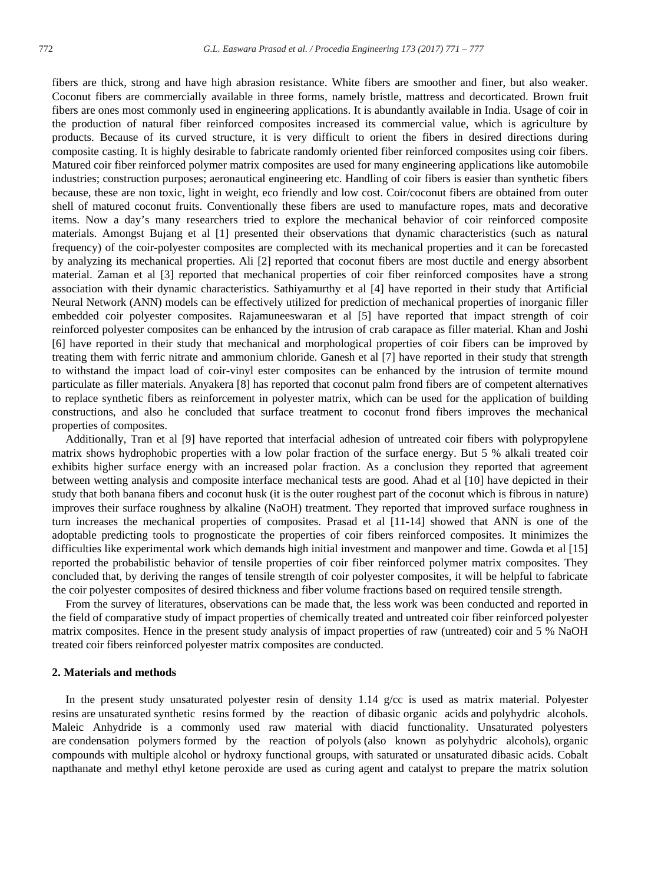fibers are thick, strong and have high abrasion resistance. White fibers are smoother and finer, but also weaker. Coconut fibers are commercially available in three forms, namely bristle, mattress and decorticated. Brown fruit fibers are ones most commonly used in engineering applications. It is abundantly available in India. Usage of coir in the production of natural fiber reinforced composites increased its commercial value, which is agriculture by products. Because of its curved structure, it is very difficult to orient the fibers in desired directions during composite casting. It is highly desirable to fabricate randomly oriented fiber reinforced composites using coir fibers. Matured coir fiber reinforced polymer matrix composites are used for many engineering applications like automobile industries; construction purposes; aeronautical engineering etc. Handling of coir fibers is easier than synthetic fibers because, these are non toxic, light in weight, eco friendly and low cost. Coir/coconut fibers are obtained from outer shell of matured coconut fruits. Conventionally these fibers are used to manufacture ropes, mats and decorative items. Now a day's many researchers tried to explore the mechanical behavior of coir reinforced composite materials. Amongst Bujang et al [1] presented their observations that dynamic characteristics (such as natural frequency) of the coir-polyester composites are complected with its mechanical properties and it can be forecasted by analyzing its mechanical properties. Ali [2] reported that coconut fibers are most ductile and energy absorbent material. Zaman et al [3] reported that mechanical properties of coir fiber reinforced composites have a strong association with their dynamic characteristics. Sathiyamurthy et al [4] have reported in their study that Artificial Neural Network (ANN) models can be effectively utilized for prediction of mechanical properties of inorganic filler embedded coir polyester composites. Rajamuneeswaran et al [5] have reported that impact strength of coir reinforced polyester composites can be enhanced by the intrusion of crab carapace as filler material. Khan and Joshi [6] have reported in their study that mechanical and morphological properties of coir fibers can be improved by treating them with ferric nitrate and ammonium chloride. Ganesh et al [7] have reported in their study that strength to withstand the impact load of coir-vinyl ester composites can be enhanced by the intrusion of termite mound particulate as filler materials. Anyakera [8] has reported that coconut palm frond fibers are of competent alternatives to replace synthetic fibers as reinforcement in polyester matrix, which can be used for the application of building constructions, and also he concluded that surface treatment to coconut frond fibers improves the mechanical properties of composites.

Additionally, Tran et al [9] have reported that interfacial adhesion of untreated coir fibers with polypropylene matrix shows hydrophobic properties with a low polar fraction of the surface energy. But 5 % alkali treated coir exhibits higher surface energy with an increased polar fraction. As a conclusion they reported that agreement between wetting analysis and composite interface mechanical tests are good. Ahad et al [10] have depicted in their study that both banana fibers and coconut husk (it is the outer roughest part of the coconut which is fibrous in nature) improves their surface roughness by alkaline (NaOH) treatment. They reported that improved surface roughness in turn increases the mechanical properties of composites. Prasad et al [11-14] showed that ANN is one of the adoptable predicting tools to prognosticate the properties of coir fibers reinforced composites. It minimizes the difficulties like experimental work which demands high initial investment and manpower and time. Gowda et al [15] reported the probabilistic behavior of tensile properties of coir fiber reinforced polymer matrix composites. They concluded that, by deriving the ranges of tensile strength of coir polyester composites, it will be helpful to fabricate the coir polyester composites of desired thickness and fiber volume fractions based on required tensile strength.

From the survey of literatures, observations can be made that, the less work was been conducted and reported in the field of comparative study of impact properties of chemically treated and untreated coir fiber reinforced polyester matrix composites. Hence in the present study analysis of impact properties of raw (untreated) coir and 5 % NaOH treated coir fibers reinforced polyester matrix composites are conducted.

### **2. Materials and methods**

In the present study unsaturated polyester resin of density 1.14 g/cc is used as matrix material. Polyester resins are unsaturated synthetic resins formed by the reaction of dibasic organic acids and polyhydric alcohols. Maleic Anhydride is a commonly used raw material with diacid functionality. Unsaturated polyesters are condensation polymers formed by the reaction of polyols (also known as polyhydric alcohols), organic compounds with multiple alcohol or hydroxy functional groups, with saturated or unsaturated dibasic acids. Cobalt napthanate and methyl ethyl ketone peroxide are used as curing agent and catalyst to prepare the matrix solution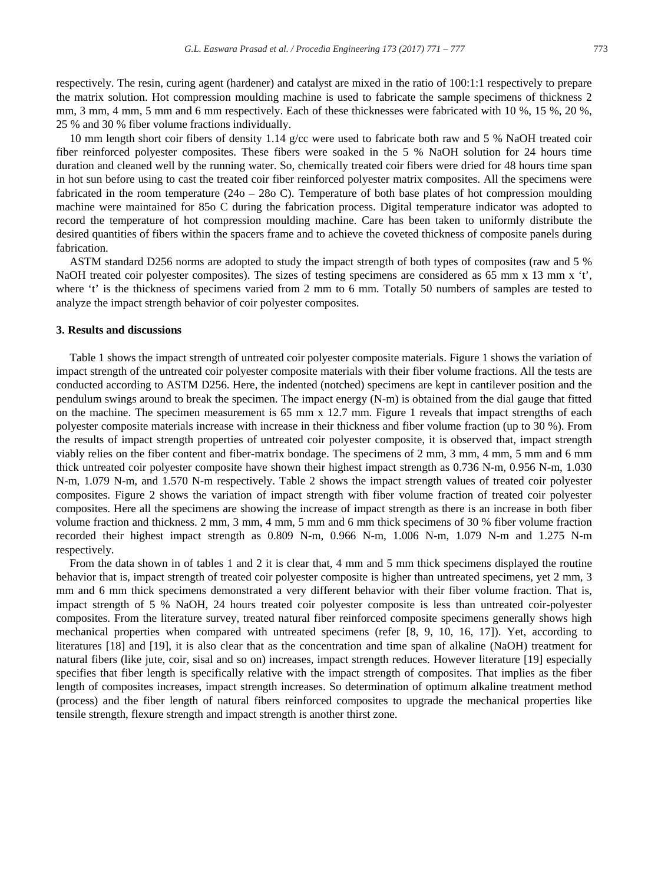respectively. The resin, curing agent (hardener) and catalyst are mixed in the ratio of 100:1:1 respectively to prepare the matrix solution. Hot compression moulding machine is used to fabricate the sample specimens of thickness 2 mm, 3 mm, 4 mm, 5 mm and 6 mm respectively. Each of these thicknesses were fabricated with 10 %, 15 %, 20 %, 25 % and 30 % fiber volume fractions individually.

10 mm length short coir fibers of density 1.14 g/cc were used to fabricate both raw and 5 % NaOH treated coir fiber reinforced polyester composites. These fibers were soaked in the 5 % NaOH solution for 24 hours time duration and cleaned well by the running water. So, chemically treated coir fibers were dried for 48 hours time span in hot sun before using to cast the treated coir fiber reinforced polyester matrix composites. All the specimens were fabricated in the room temperature (24o – 28o C). Temperature of both base plates of hot compression moulding machine were maintained for 85o C during the fabrication process. Digital temperature indicator was adopted to record the temperature of hot compression moulding machine. Care has been taken to uniformly distribute the desired quantities of fibers within the spacers frame and to achieve the coveted thickness of composite panels during fabrication.

ASTM standard D256 norms are adopted to study the impact strength of both types of composites (raw and 5 % NaOH treated coir polyester composites). The sizes of testing specimens are considered as 65 mm x 13 mm x 't', where 't' is the thickness of specimens varied from 2 mm to 6 mm. Totally 50 numbers of samples are tested to analyze the impact strength behavior of coir polyester composites.

#### **3. Results and discussions**

Table 1 shows the impact strength of untreated coir polyester composite materials. Figure 1 shows the variation of impact strength of the untreated coir polyester composite materials with their fiber volume fractions. All the tests are conducted according to ASTM D256. Here, the indented (notched) specimens are kept in cantilever position and the pendulum swings around to break the specimen. The impact energy (N-m) is obtained from the dial gauge that fitted on the machine. The specimen measurement is 65 mm x 12.7 mm. Figure 1 reveals that impact strengths of each polyester composite materials increase with increase in their thickness and fiber volume fraction (up to 30 %). From the results of impact strength properties of untreated coir polyester composite, it is observed that, impact strength viably relies on the fiber content and fiber-matrix bondage. The specimens of 2 mm, 3 mm, 4 mm, 5 mm and 6 mm thick untreated coir polyester composite have shown their highest impact strength as 0.736 N-m, 0.956 N-m, 1.030 N-m, 1.079 N-m, and 1.570 N-m respectively. Table 2 shows the impact strength values of treated coir polyester composites. Figure 2 shows the variation of impact strength with fiber volume fraction of treated coir polyester composites. Here all the specimens are showing the increase of impact strength as there is an increase in both fiber volume fraction and thickness. 2 mm, 3 mm, 4 mm, 5 mm and 6 mm thick specimens of 30 % fiber volume fraction recorded their highest impact strength as 0.809 N-m, 0.966 N-m, 1.006 N-m, 1.079 N-m and 1.275 N-m respectively.

From the data shown in of tables 1 and 2 it is clear that, 4 mm and 5 mm thick specimens displayed the routine behavior that is, impact strength of treated coir polyester composite is higher than untreated specimens, yet 2 mm, 3 mm and 6 mm thick specimens demonstrated a very different behavior with their fiber volume fraction. That is, impact strength of 5 % NaOH, 24 hours treated coir polyester composite is less than untreated coir-polyester composites. From the literature survey, treated natural fiber reinforced composite specimens generally shows high mechanical properties when compared with untreated specimens (refer [8, 9, 10, 16, 17]). Yet, according to literatures [18] and [19], it is also clear that as the concentration and time span of alkaline (NaOH) treatment for natural fibers (like jute, coir, sisal and so on) increases, impact strength reduces. However literature [19] especially specifies that fiber length is specifically relative with the impact strength of composites. That implies as the fiber length of composites increases, impact strength increases. So determination of optimum alkaline treatment method (process) and the fiber length of natural fibers reinforced composites to upgrade the mechanical properties like tensile strength, flexure strength and impact strength is another thirst zone.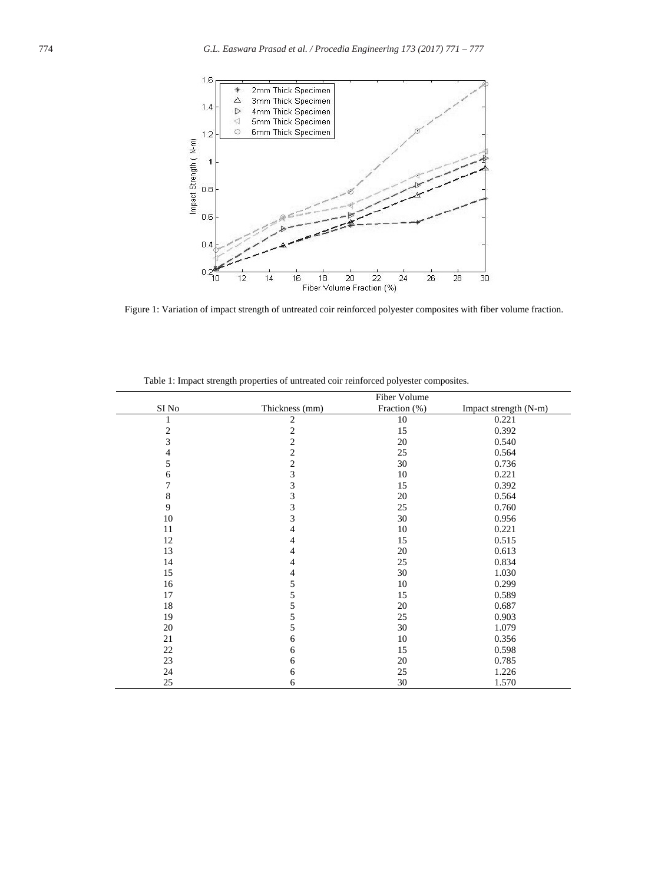

Figure 1: Variation of impact strength of untreated coir reinforced polyester composites with fiber volume fraction.

|                |                         | Fiber Volume |                       |
|----------------|-------------------------|--------------|-----------------------|
| SI No          | Thickness (mm)          | Fraction (%) | Impact strength (N-m) |
| 1              | $\mathfrak{2}$          | 10           | 0.221                 |
| $\frac{2}{3}$  | $\sqrt{2}$              | 15           | 0.392                 |
|                | $\overline{c}$          | 20           | 0.540                 |
| $\overline{4}$ | $\overline{\mathbf{c}}$ | 25           | 0.564                 |
| 5              | $\overline{c}$          | 30           | 0.736                 |
| 6              | $\mathfrak{Z}$          | 10           | 0.221                 |
| 7              | 3                       | 15           | 0.392                 |
| $\,$ 8 $\,$    | 3                       | 20           | 0.564                 |
| 9              | 3                       | 25           | 0.760                 |
| 10             | 3                       | 30           | 0.956                 |
| 11             | 4                       | 10           | 0.221                 |
| 12             | 4                       | 15           | 0.515                 |
| 13             | 4                       | 20           | 0.613                 |
| 14             | $\overline{4}$          | 25           | 0.834                 |
| 15             | 4                       | 30           | 1.030                 |
| 16             | 5                       | 10           | 0.299                 |
| 17             | 5                       | 15           | 0.589                 |
| 18             | 5                       | 20           | 0.687                 |
| 19             | 5                       | 25           | 0.903                 |
| 20             | 5                       | 30           | 1.079                 |
| 21             | 6                       | 10           | 0.356                 |
| 22             | 6                       | 15           | 0.598                 |
| 23             | 6                       | 20           | 0.785                 |
| 24             | 6                       | 25           | 1.226                 |
| 25             | 6                       | 30           | 1.570                 |

Table 1: Impact strength properties of untreated coir reinforced polyester composites.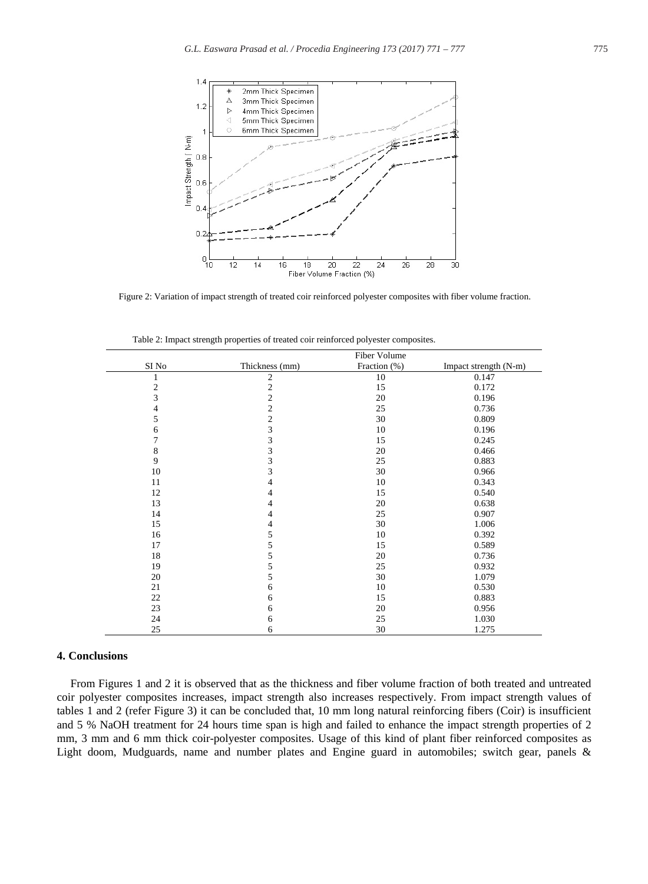

Figure 2: Variation of impact strength of treated coir reinforced polyester composites with fiber volume fraction.

|                | Fiber Volume                               |              |                       |
|----------------|--------------------------------------------|--------------|-----------------------|
| SI No          | Thickness (mm)                             | Fraction (%) | Impact strength (N-m) |
| 1              | $\sqrt{2}$                                 | 10           | 0.147                 |
| $\mathbf{2}$   | $\frac{2}{2}$                              | 15           | 0.172                 |
| $\overline{3}$ |                                            | 20           | 0.196                 |
| 4              | $\overline{\mathbf{c}}$                    | 25           | 0.736                 |
| 5              | $\begin{array}{c} 2 \\ 3 \\ 3 \end{array}$ | 30           | 0.809                 |
| 6              |                                            | 10           | 0.196                 |
| $\overline{7}$ |                                            | 15           | 0.245                 |
| $\,8\,$        | $\frac{3}{3}$                              | 20           | 0.466                 |
| 9              |                                            | 25           | 0.883                 |
| 10             | 3                                          | 30           | 0.966                 |
| 11             | 4                                          | 10           | 0.343                 |
| 12             | $\overline{4}$                             | 15           | 0.540                 |
| 13             | $\overline{4}$                             | 20           | 0.638                 |
| 14             | 4                                          | 25           | 0.907                 |
| 15             | 4                                          | 30           | 1.006                 |
| 16             | 5                                          | 10           | 0.392                 |
| 17             | 5                                          | 15           | 0.589                 |
| 18             | $\sqrt{5}$                                 | 20           | 0.736                 |
| 19             | 5                                          | 25           | 0.932                 |
| 20             | 5                                          | 30           | 1.079                 |
| 21             | 6                                          | 10           | 0.530                 |
| 22             | 6                                          | 15           | 0.883                 |
| 23             | 6                                          | 20           | 0.956                 |
| 24             | 6                                          | 25           | 1.030                 |
| 25             | 6                                          | 30           | 1.275                 |

Table 2: Impact strength properties of treated coir reinforced polyester composites.

#### **4. Conclusions**

From Figures 1 and 2 it is observed that as the thickness and fiber volume fraction of both treated and untreated coir polyester composites increases, impact strength also increases respectively. From impact strength values of tables 1 and 2 (refer Figure 3) it can be concluded that, 10 mm long natural reinforcing fibers (Coir) is insufficient and 5 % NaOH treatment for 24 hours time span is high and failed to enhance the impact strength properties of 2 mm, 3 mm and 6 mm thick coir-polyester composites. Usage of this kind of plant fiber reinforced composites as Light doom, Mudguards, name and number plates and Engine guard in automobiles; switch gear, panels &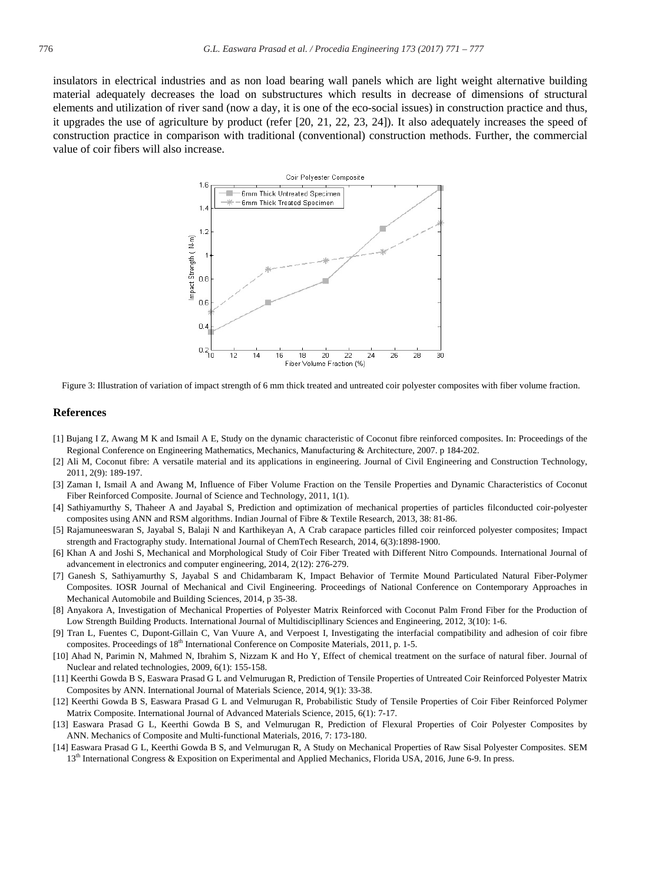insulators in electrical industries and as non load bearing wall panels which are light weight alternative building material adequately decreases the load on substructures which results in decrease of dimensions of structural elements and utilization of river sand (now a day, it is one of the eco-social issues) in construction practice and thus, it upgrades the use of agriculture by product (refer [20, 21, 22, 23, 24]). It also adequately increases the speed of construction practice in comparison with traditional (conventional) construction methods. Further, the commercial value of coir fibers will also increase.



Figure 3: Illustration of variation of impact strength of 6 mm thick treated and untreated coir polyester composites with fiber volume fraction.

#### **References**

- [1] Bujang I Z, Awang M K and Ismail A E, Study on the dynamic characteristic of Coconut fibre reinforced composites. In: Proceedings of the Regional Conference on Engineering Mathematics, Mechanics, Manufacturing & Architecture, 2007. p 184-202.
- [2] Ali M, Coconut fibre: A versatile material and its applications in engineering. Journal of Civil Engineering and Construction Technology, 2011, 2(9): 189-197.
- [3] Zaman I, Ismail A and Awang M, Influence of Fiber Volume Fraction on the Tensile Properties and Dynamic Characteristics of Coconut Fiber Reinforced Composite. Journal of Science and Technology, 2011, 1(1).
- [4] Sathiyamurthy S, Thaheer A and Jayabal S, Prediction and optimization of mechanical properties of particles filconducted coir-polyester composites using ANN and RSM algorithms. Indian Journal of Fibre & Textile Research, 2013, 38: 81-86.
- [5] Rajamuneeswaran S, Jayabal S, Balaji N and Karthikeyan A, A Crab carapace particles filled coir reinforced polyester composites; Impact strength and Fractography study. International Journal of ChemTech Research, 2014, 6(3):1898-1900.
- [6] Khan A and Joshi S, Mechanical and Morphological Study of Coir Fiber Treated with Different Nitro Compounds. International Journal of advancement in electronics and computer engineering, 2014, 2(12): 276-279.
- [7] Ganesh S, Sathiyamurthy S, Jayabal S and Chidambaram K, Impact Behavior of Termite Mound Particulated Natural Fiber-Polymer Composites. IOSR Journal of Mechanical and Civil Engineering. Proceedings of National Conference on Contemporary Approaches in Mechanical Automobile and Building Sciences, 2014, p 35-38.
- [8] Anyakora A, Investigation of Mechanical Properties of Polyester Matrix Reinforced with Coconut Palm Frond Fiber for the Production of Low Strength Building Products. International Journal of Multidiscipllinary Sciences and Engineering, 2012, 3(10): 1-6.
- [9] Tran L, Fuentes C, Dupont-Gillain C, Van Vuure A, and Verpoest I, Investigating the interfacial compatibility and adhesion of coir fibre composites. Proceedings of 18<sup>th</sup> International Conference on Composite Materials, 2011, p. 1-5.
- [10] Ahad N, Parimin N, Mahmed N, Ibrahim S, Nizzam K and Ho Y, Effect of chemical treatment on the surface of natural fiber. Journal of Nuclear and related technologies, 2009, 6(1): 155-158.
- [11] Keerthi Gowda B S, Easwara Prasad G L and Velmurugan R, Prediction of Tensile Properties of Untreated Coir Reinforced Polyester Matrix Composites by ANN. International Journal of Materials Science, 2014, 9(1): 33-38.
- [12] Keerthi Gowda B S, Easwara Prasad G L and Velmurugan R, Probabilistic Study of Tensile Properties of Coir Fiber Reinforced Polymer Matrix Composite. International Journal of Advanced Materials Science, 2015, 6(1): 7-17.
- [13] Easwara Prasad G L, Keerthi Gowda B S, and Velmurugan R, Prediction of Flexural Properties of Coir Polyester Composites by ANN. Mechanics of Composite and Multi-functional Materials, 2016, 7: 173-180.
- [14] Easwara Prasad G L, Keerthi Gowda B S, and Velmurugan R, A Study on Mechanical Properties of Raw Sisal Polyester Composites. SEM 13th International Congress & Exposition on Experimental and Applied Mechanics, Florida USA, 2016, June 6-9. In press.